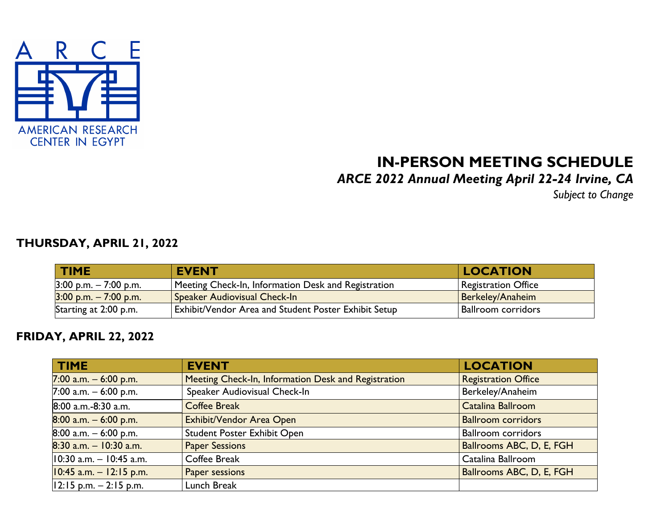

# **IN-PERSON MEETING SCHEDULE**

*ARCE 2022 Annual Meeting April 22-24 Irvine, CA*

*Subject to Change*

#### **THURSDAY, APRIL 21, 2022**

| <b>TIME</b>              | <b>EVENT</b>                                                | <b>LOCATION</b>            |
|--------------------------|-------------------------------------------------------------|----------------------------|
| $3:00$ p.m. $-7:00$ p.m. | Meeting Check-In, Information Desk and Registration         | <b>Registration Office</b> |
| $3:00$ p.m. $-7:00$ p.m. | Speaker Audiovisual Check-In                                | Berkeley/Anaheim           |
| Starting at 2:00 p.m.    | <b>Exhibit/Vendor Area and Student Poster Exhibit Setup</b> | <b>Ballroom corridors</b>  |

### **FRIDAY, APRIL 22, 2022**

| <b>TIME</b>                | <b>EVENT</b>                                        | <b>LOCATION</b>            |
|----------------------------|-----------------------------------------------------|----------------------------|
| 7:00 a.m. $-$ 6:00 p.m.    | Meeting Check-In, Information Desk and Registration | <b>Registration Office</b> |
| 7:00 a.m. $-$ 6:00 p.m.    | Speaker Audiovisual Check-In                        | Berkeley/Anaheim           |
| 8:00 a.m.-8:30 a.m.        | <b>Coffee Break</b>                                 | Catalina Ballroom          |
| $8:00$ a.m. $-6:00$ p.m.   | Exhibit/Vendor Area Open                            | <b>Ballroom corridors</b>  |
| $8:00$ a.m. $-6:00$ p.m.   | Student Poster Exhibit Open                         | <b>Ballroom</b> corridors  |
| $8:30$ a.m. $-10:30$ a.m.  | <b>Paper Sessions</b>                               | Ballrooms ABC, D, E, FGH   |
| 10:30 a.m. - 10:45 a.m.    | Coffee Break                                        | Catalina Ballroom          |
| $10:45$ a.m. $-12:15$ p.m. | Paper sessions                                      | Ballrooms ABC, D, E, FGH   |
| $12:15$ p.m. $-2:15$ p.m.  | Lunch Break                                         |                            |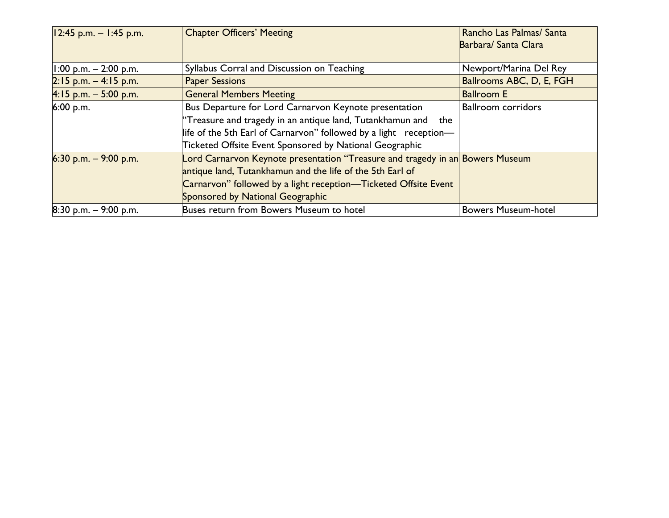| $12:45$ p.m. - 1:45 p.m.                  | <b>Chapter Officers' Meeting</b>                                                                                                                                                                                                                       | Rancho Las Palmas/ Santa<br>Barbara/ Santa Clara |
|-------------------------------------------|--------------------------------------------------------------------------------------------------------------------------------------------------------------------------------------------------------------------------------------------------------|--------------------------------------------------|
| $ 1:00 \text{ p.m.} - 2:00 \text{ p.m.} $ | Syllabus Corral and Discussion on Teaching                                                                                                                                                                                                             | Newport/Marina Del Rey                           |
| $2:15$ p.m. $-4:15$ p.m.                  | <b>Paper Sessions</b>                                                                                                                                                                                                                                  | Ballrooms ABC, D, E, FGH                         |
| 4:15 p.m. $-$ 5:00 p.m.                   | <b>General Members Meeting</b>                                                                                                                                                                                                                         | <b>Ballroom E</b>                                |
| 6:00 p.m.                                 | Bus Departure for Lord Carnarvon Keynote presentation<br>"Treasure and tragedy in an antique land, Tutankhamun and the<br>life of the 5th Earl of Carnarvon" followed by a light reception-<br>Ticketed Offsite Event Sponsored by National Geographic | <b>Ballroom corridors</b>                        |
| 6:30 p.m. $-$ 9:00 p.m.                   | Lord Carnarvon Keynote presentation "Treasure and tragedy in an Bowers Museum<br>antique land, Tutankhamun and the life of the 5th Earl of<br>Carnarvon" followed by a light reception-Ticketed Offsite Event<br>Sponsored by National Geographic      |                                                  |
| $8:30$ p.m. $-$ 9:00 p.m.                 | Buses return from Bowers Museum to hotel                                                                                                                                                                                                               | <b>Bowers Museum-hotel</b>                       |